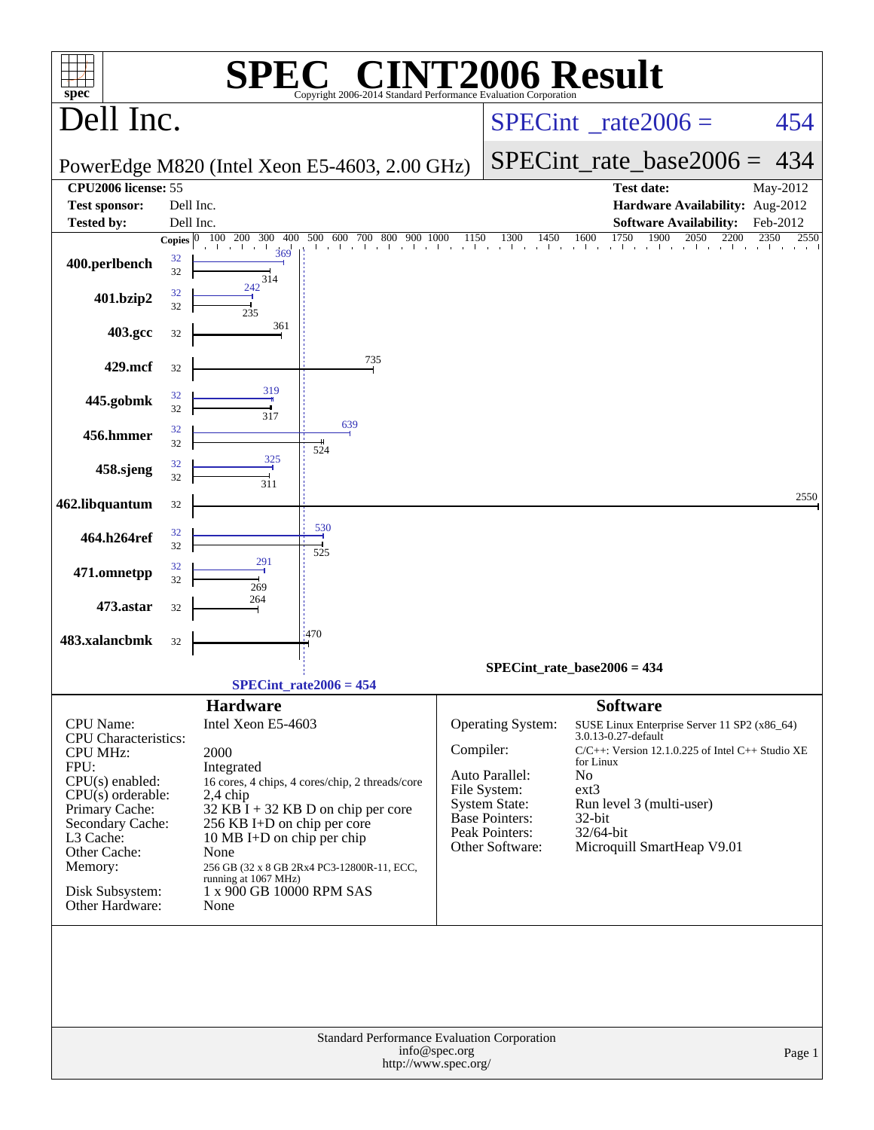|                                                                                                                                                                                                                                            | $\mathbf{P}(\mathbb{R})$                                                                                                                                                                                                                                                                                                                                    | <b>T2006 Result</b>                                                                                                                                                                                                                                                                                                                                                                                                     |
|--------------------------------------------------------------------------------------------------------------------------------------------------------------------------------------------------------------------------------------------|-------------------------------------------------------------------------------------------------------------------------------------------------------------------------------------------------------------------------------------------------------------------------------------------------------------------------------------------------------------|-------------------------------------------------------------------------------------------------------------------------------------------------------------------------------------------------------------------------------------------------------------------------------------------------------------------------------------------------------------------------------------------------------------------------|
| $spec^*$<br>Dell Inc.                                                                                                                                                                                                                      | Copyright 2006-2014 Standard Performance Evaluation Corporation                                                                                                                                                                                                                                                                                             | $SPECint^{\circ}$ <sub>_rate2006</sub> =<br>454                                                                                                                                                                                                                                                                                                                                                                         |
|                                                                                                                                                                                                                                            | PowerEdge M820 (Intel Xeon E5-4603, 2.00 GHz)                                                                                                                                                                                                                                                                                                               | $SPECint_rate\_base2006 =$<br>434                                                                                                                                                                                                                                                                                                                                                                                       |
| <b>CPU2006</b> license: 55                                                                                                                                                                                                                 |                                                                                                                                                                                                                                                                                                                                                             | <b>Test date:</b><br>May-2012                                                                                                                                                                                                                                                                                                                                                                                           |
| <b>Test sponsor:</b>                                                                                                                                                                                                                       | Dell Inc.                                                                                                                                                                                                                                                                                                                                                   | Hardware Availability: Aug-2012                                                                                                                                                                                                                                                                                                                                                                                         |
| <b>Tested by:</b>                                                                                                                                                                                                                          | Dell Inc.                                                                                                                                                                                                                                                                                                                                                   | <b>Software Availability:</b><br>Feb-2012                                                                                                                                                                                                                                                                                                                                                                               |
|                                                                                                                                                                                                                                            | Copies $\boxed{0\quad100\quad200\quad300\quad400}$<br>500 600 700 800 900 1000<br>$\mathbf{I}$<br>369                                                                                                                                                                                                                                                       | 1750<br>1900<br>2050<br>2350<br>1300<br>1450<br>1600<br>2200<br>1150<br>2550<br>that the internal teachers are the contracted as a filter of the contracted as a filter of the contracted as                                                                                                                                                                                                                            |
| 32<br>400.perlbench<br>32                                                                                                                                                                                                                  | 314                                                                                                                                                                                                                                                                                                                                                         |                                                                                                                                                                                                                                                                                                                                                                                                                         |
| 32<br>401.bzip2<br>32                                                                                                                                                                                                                      | 242<br>235                                                                                                                                                                                                                                                                                                                                                  |                                                                                                                                                                                                                                                                                                                                                                                                                         |
| 403.gcc<br>32                                                                                                                                                                                                                              | 361                                                                                                                                                                                                                                                                                                                                                         |                                                                                                                                                                                                                                                                                                                                                                                                                         |
| 429.mcf<br>32                                                                                                                                                                                                                              | 735                                                                                                                                                                                                                                                                                                                                                         |                                                                                                                                                                                                                                                                                                                                                                                                                         |
| 32<br>445.gobmk<br>32                                                                                                                                                                                                                      | 319<br>317<br>639                                                                                                                                                                                                                                                                                                                                           |                                                                                                                                                                                                                                                                                                                                                                                                                         |
| 32<br>456.hmmer<br>32                                                                                                                                                                                                                      | 524<br>325                                                                                                                                                                                                                                                                                                                                                  |                                                                                                                                                                                                                                                                                                                                                                                                                         |
| 32<br>458.sjeng<br>32                                                                                                                                                                                                                      | 311                                                                                                                                                                                                                                                                                                                                                         |                                                                                                                                                                                                                                                                                                                                                                                                                         |
| 462.libquantum<br>32                                                                                                                                                                                                                       | 530                                                                                                                                                                                                                                                                                                                                                         | 2550                                                                                                                                                                                                                                                                                                                                                                                                                    |
| 32<br>464.h264ref<br>32                                                                                                                                                                                                                    | 525<br>291                                                                                                                                                                                                                                                                                                                                                  |                                                                                                                                                                                                                                                                                                                                                                                                                         |
| 32<br>471.omnetpp<br>32                                                                                                                                                                                                                    | 269                                                                                                                                                                                                                                                                                                                                                         |                                                                                                                                                                                                                                                                                                                                                                                                                         |
| 473.astar<br>32                                                                                                                                                                                                                            | 264                                                                                                                                                                                                                                                                                                                                                         |                                                                                                                                                                                                                                                                                                                                                                                                                         |
| 483.xalancbmk<br>32                                                                                                                                                                                                                        | 470                                                                                                                                                                                                                                                                                                                                                         |                                                                                                                                                                                                                                                                                                                                                                                                                         |
|                                                                                                                                                                                                                                            |                                                                                                                                                                                                                                                                                                                                                             | $SPECint_rate_base2006 = 434$                                                                                                                                                                                                                                                                                                                                                                                           |
|                                                                                                                                                                                                                                            | $SPECint_rate2006 = 454$                                                                                                                                                                                                                                                                                                                                    |                                                                                                                                                                                                                                                                                                                                                                                                                         |
| <b>CPU</b> Name:<br><b>CPU</b> Characteristics:<br><b>CPU MHz:</b><br>FPU:<br>$CPU(s)$ enabled:<br>$CPU(s)$ orderable:<br>Primary Cache:<br>Secondary Cache:<br>L3 Cache:<br>Other Cache:<br>Memory:<br>Disk Subsystem:<br>Other Hardware: | <b>Hardware</b><br>Intel Xeon E5-4603<br>2000<br>Integrated<br>16 cores, 4 chips, 4 cores/chip, 2 threads/core<br>$2,4$ chip<br>$32$ KB $\bar{1}$ + 32 KB D on chip per core<br>256 KB I+D on chip per core<br>10 MB I+D on chip per chip<br>None<br>256 GB (32 x 8 GB 2Rx4 PC3-12800R-11, ECC,<br>running at 1067 MHz)<br>1 x 900 GB 10000 RPM SAS<br>None | <b>Software</b><br>Operating System:<br>SUSE Linux Enterprise Server 11 SP2 (x86_64)<br>3.0.13-0.27-default<br>Compiler:<br>C/C++: Version 12.1.0.225 of Intel C++ Studio XE<br>for Linux<br>No<br>Auto Parallel:<br>File System:<br>$ext{3}$<br><b>System State:</b><br>Run level 3 (multi-user)<br><b>Base Pointers:</b><br>$32$ -bit<br>Peak Pointers:<br>32/64-bit<br>Other Software:<br>Microquill SmartHeap V9.01 |
|                                                                                                                                                                                                                                            | Standard Performance Evaluation Corporation<br>info@spec.org<br>http://www.spec.org/                                                                                                                                                                                                                                                                        | Page 1                                                                                                                                                                                                                                                                                                                                                                                                                  |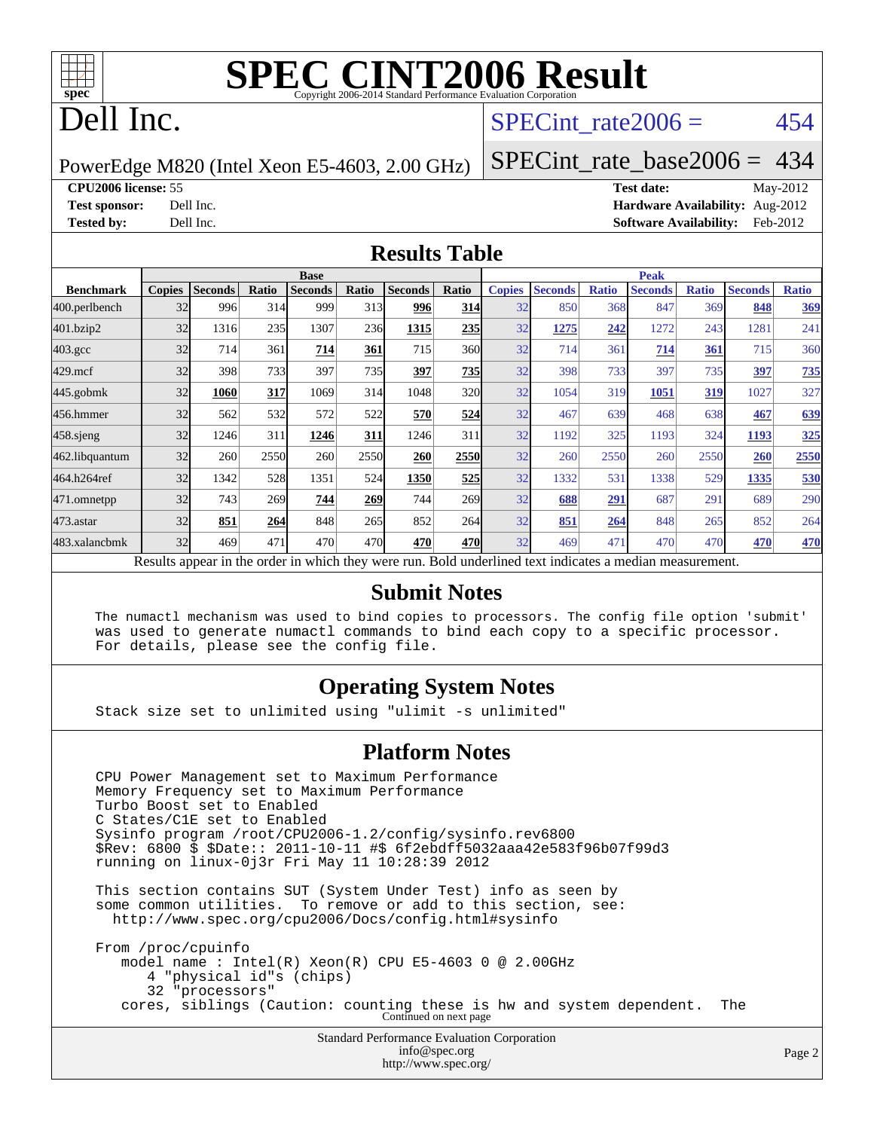

# **[SPEC CINT2006 Result](http://www.spec.org/auto/cpu2006/Docs/result-fields.html#SPECCINT2006Result)**

# Dell Inc.

#### SPECint rate $2006 = 454$

PowerEdge M820 (Intel Xeon E5-4603, 2.00 GHz)

[SPECint\\_rate\\_base2006 =](http://www.spec.org/auto/cpu2006/Docs/result-fields.html#SPECintratebase2006) 434

**[CPU2006 license:](http://www.spec.org/auto/cpu2006/Docs/result-fields.html#CPU2006license)** 55 **[Test date:](http://www.spec.org/auto/cpu2006/Docs/result-fields.html#Testdate)** May-2012 **[Test sponsor:](http://www.spec.org/auto/cpu2006/Docs/result-fields.html#Testsponsor)** Dell Inc. **[Hardware Availability:](http://www.spec.org/auto/cpu2006/Docs/result-fields.html#HardwareAvailability)** Aug-2012 **[Tested by:](http://www.spec.org/auto/cpu2006/Docs/result-fields.html#Testedby)** Dell Inc. **[Software Availability:](http://www.spec.org/auto/cpu2006/Docs/result-fields.html#SoftwareAvailability)** Feb-2012

#### **[Results Table](http://www.spec.org/auto/cpu2006/Docs/result-fields.html#ResultsTable)**

|                                                                                                          | <b>Base</b>   |                |       |                |       |                |            | <b>Peak</b>   |                |              |                |              |                |              |
|----------------------------------------------------------------------------------------------------------|---------------|----------------|-------|----------------|-------|----------------|------------|---------------|----------------|--------------|----------------|--------------|----------------|--------------|
| <b>Benchmark</b>                                                                                         | <b>Copies</b> | <b>Seconds</b> | Ratio | <b>Seconds</b> | Ratio | <b>Seconds</b> | Ratio      | <b>Copies</b> | <b>Seconds</b> | <b>Ratio</b> | <b>Seconds</b> | <b>Ratio</b> | <b>Seconds</b> | <b>Ratio</b> |
| 400.perlbench                                                                                            | 32            | 996            | 314   | 999            | 313   | 996            | 314        | 32            | 850            | 368          | 847            | 369          | 848            | 369          |
| 401.bzip2                                                                                                | 32            | 1316           | 235   | 1307           | 236   | 1315           | 235        | 32            | 1275           | 242          | 1272           | 243          | 1281           | 241          |
| $403.\mathrm{gcc}$                                                                                       | 32            | 714            | 361   | 714            | 361   | 715            | 360        | 32            | 714            | 361          | 714            | 361          | 715            | 360          |
| $429$ .mcf                                                                                               | 32            | 398            | 733   | 397            | 735   | 397            | 735        | 32            | 398            | 733          | 397            | 735          | 397            | 735          |
| $445$ .gobmk                                                                                             | 32            | 1060           | 317   | 1069           | 314   | 1048           | 320        | 32            | 1054           | 319          | 1051           | 319          | 1027           | 327          |
| 456.hmmer                                                                                                | 32            | 562            | 532   | 572            | 522   | 570            | 524        | 32            | 467            | 639          | 468            | 638          | 467            | <u>639</u>   |
| $458$ .sjeng                                                                                             | 32            | 1246           | 311   | 1246           | 311   | 1246           | 311        | 32            | 1192           | 325          | 1193           | 324          | 1193           | 325          |
| 462.libquantum                                                                                           | 32            | 260            | 2550  | 260            | 2550  | 260            | 2550       | 32            | 260            | 2550         | 260            | 2550         | 260            | 2550         |
| 464.h264ref                                                                                              | 32            | 1342           | 528   | 1351           | 524   | 1350           | 525        | 32            | 1332           | 531          | 1338           | 529          | 1335           | 530          |
| 471.omnetpp                                                                                              | 32            | 743            | 269   | 744            | 269   | 744            | <b>269</b> | 32            | 688            | 291          | 687            | 291          | 689            | 290          |
| 473.astar                                                                                                | 32            | 851            | 264   | 848            | 265   | 852            | 264        | 32            | 851            | 264          | 848            | 265          | 852            | 264          |
| 483.xalancbmk                                                                                            | 32            | 469            | 471   | 470            | 470   | 470            | 470        | 32            | 469            | 471          | 470            | 470          | 470            | 470          |
| Results appear in the order in which they were run. Bold underlined text indicates a median measurement. |               |                |       |                |       |                |            |               |                |              |                |              |                |              |

#### **[Submit Notes](http://www.spec.org/auto/cpu2006/Docs/result-fields.html#SubmitNotes)**

 The numactl mechanism was used to bind copies to processors. The config file option 'submit' was used to generate numactl commands to bind each copy to a specific processor. For details, please see the config file.

#### **[Operating System Notes](http://www.spec.org/auto/cpu2006/Docs/result-fields.html#OperatingSystemNotes)**

Stack size set to unlimited using "ulimit -s unlimited"

#### **[Platform Notes](http://www.spec.org/auto/cpu2006/Docs/result-fields.html#PlatformNotes)**

Standard Performance Evaluation Corporation [info@spec.org](mailto:info@spec.org) CPU Power Management set to Maximum Performance Memory Frequency set to Maximum Performance Turbo Boost set to Enabled C States/C1E set to Enabled Sysinfo program /root/CPU2006-1.2/config/sysinfo.rev6800 \$Rev: 6800 \$ \$Date:: 2011-10-11 #\$ 6f2ebdff5032aaa42e583f96b07f99d3 running on linux-0j3r Fri May 11 10:28:39 2012 This section contains SUT (System Under Test) info as seen by some common utilities. To remove or add to this section, see: <http://www.spec.org/cpu2006/Docs/config.html#sysinfo> From /proc/cpuinfo model name : Intel(R) Xeon(R) CPU E5-4603 0 @ 2.00GHz 4 "physical id"s (chips) 32 "processors" cores, siblings (Caution: counting these is hw and system dependent. The Continued on next page

<http://www.spec.org/>

Page 2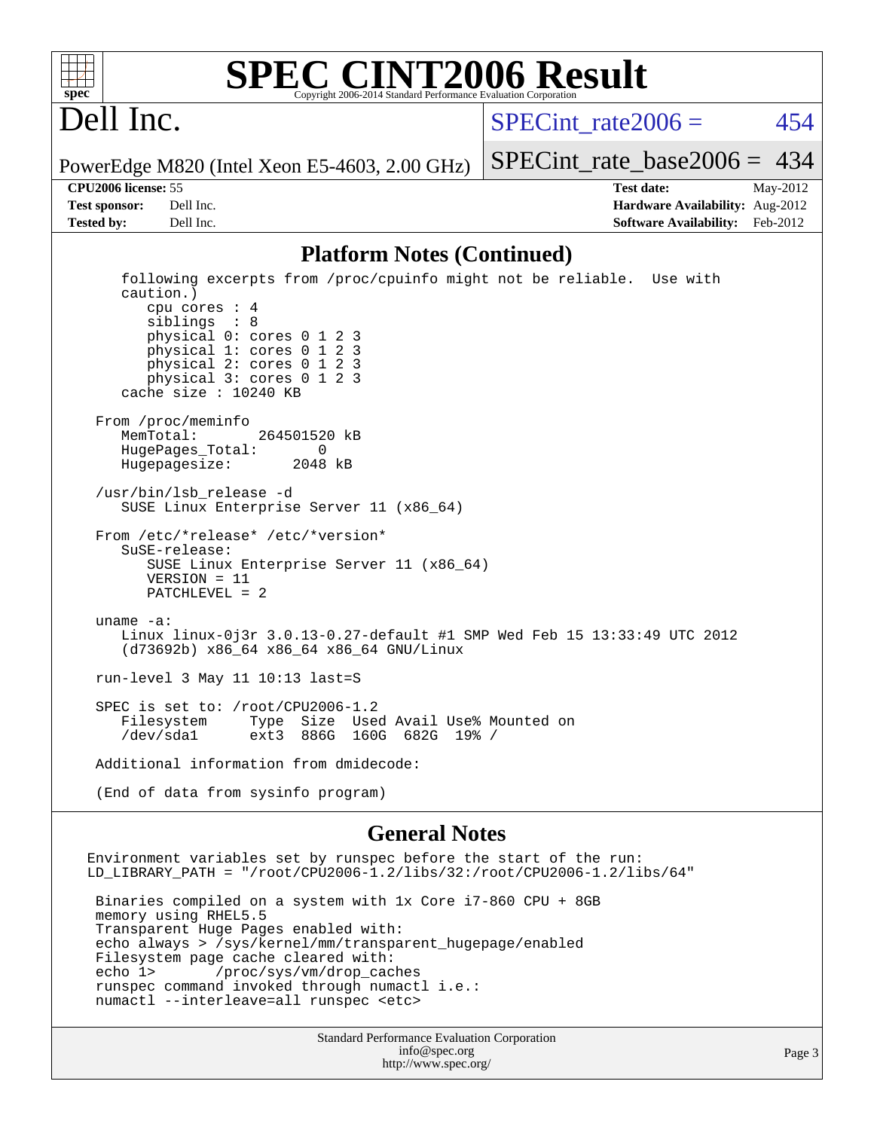

#### **[SPEC CINT2006 Result](http://www.spec.org/auto/cpu2006/Docs/result-fields.html#SPECCINT2006Result)** Copyright 2006-2014 Standard Performance Evaluation C

# Dell Inc.

SPECint rate $2006 = 454$ 

PowerEdge M820 (Intel Xeon E5-4603, 2.00 GHz)

**[CPU2006 license:](http://www.spec.org/auto/cpu2006/Docs/result-fields.html#CPU2006license)** 55 **[Test date:](http://www.spec.org/auto/cpu2006/Docs/result-fields.html#Testdate)** May-2012

[SPECint\\_rate\\_base2006 =](http://www.spec.org/auto/cpu2006/Docs/result-fields.html#SPECintratebase2006) 434

**[Test sponsor:](http://www.spec.org/auto/cpu2006/Docs/result-fields.html#Testsponsor)** Dell Inc. **[Hardware Availability:](http://www.spec.org/auto/cpu2006/Docs/result-fields.html#HardwareAvailability)** Aug-2012 **[Tested by:](http://www.spec.org/auto/cpu2006/Docs/result-fields.html#Testedby)** Dell Inc. **[Software Availability:](http://www.spec.org/auto/cpu2006/Docs/result-fields.html#SoftwareAvailability)** Feb-2012

#### **[Platform Notes \(Continued\)](http://www.spec.org/auto/cpu2006/Docs/result-fields.html#PlatformNotes)**

 following excerpts from /proc/cpuinfo might not be reliable. Use with caution.) cpu cores : 4 siblings : 8 physical 0: cores 0 1 2 3 physical 1: cores 0 1 2 3 physical 2: cores 0 1 2 3 physical 3: cores 0 1 2 3 cache size : 10240 KB From /proc/meminfo MemTotal: 264501520 kB HugePages\_Total: 0<br>Hugepagesize: 2048 kB Hugepagesize: /usr/bin/lsb\_release -d SUSE Linux Enterprise Server 11 (x86\_64) From /etc/\*release\* /etc/\*version\* SuSE-release: SUSE Linux Enterprise Server 11 (x86\_64) VERSION = 11 PATCHLEVEL = 2 uname -a: Linux linux-0j3r 3.0.13-0.27-default #1 SMP Wed Feb 15 13:33:49 UTC 2012 (d73692b) x86\_64 x86\_64 x86\_64 GNU/Linux run-level 3 May 11 10:13 last=S SPEC is set to: /root/CPU2006-1.2 Filesystem Type Size Used Avail Use% Mounted on /dev/sda1 ext3 886G 160G 682G 19% / Additional information from dmidecode: (End of data from sysinfo program)

#### **[General Notes](http://www.spec.org/auto/cpu2006/Docs/result-fields.html#GeneralNotes)**

Environment variables set by runspec before the start of the run: LD\_LIBRARY\_PATH = "/root/CPU2006-1.2/libs/32:/root/CPU2006-1.2/libs/64" Binaries compiled on a system with 1x Core i7-860 CPU + 8GB memory using RHEL5.5 Transparent Huge Pages enabled with: echo always > /sys/kernel/mm/transparent\_hugepage/enabled Filesystem page cache cleared with: echo 1> /proc/sys/vm/drop\_caches runspec command invoked through numactl i.e.: numactl --interleave=all runspec <etc>

> Standard Performance Evaluation Corporation [info@spec.org](mailto:info@spec.org) <http://www.spec.org/>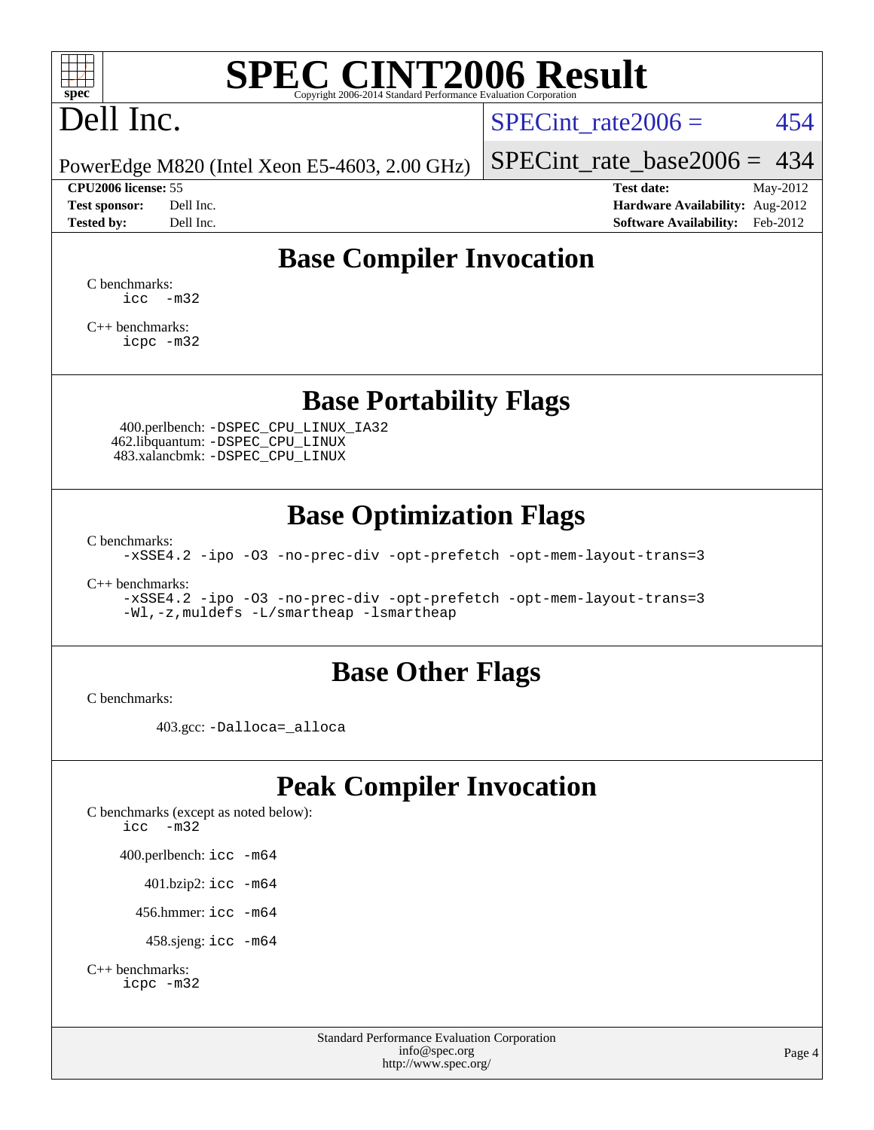

# **[SPEC CINT2006 Result](http://www.spec.org/auto/cpu2006/Docs/result-fields.html#SPECCINT2006Result)**

# Dell Inc.

SPECint rate $2006 = 454$ 

PowerEdge M820 (Intel Xeon E5-4603, 2.00 GHz)

#### **[CPU2006 license:](http://www.spec.org/auto/cpu2006/Docs/result-fields.html#CPU2006license)** 55 **[Test date:](http://www.spec.org/auto/cpu2006/Docs/result-fields.html#Testdate)** May-2012

[SPECint\\_rate\\_base2006 =](http://www.spec.org/auto/cpu2006/Docs/result-fields.html#SPECintratebase2006) 434

**[Test sponsor:](http://www.spec.org/auto/cpu2006/Docs/result-fields.html#Testsponsor)** Dell Inc. **[Hardware Availability:](http://www.spec.org/auto/cpu2006/Docs/result-fields.html#HardwareAvailability)** Aug-2012 **[Tested by:](http://www.spec.org/auto/cpu2006/Docs/result-fields.html#Testedby)** Dell Inc. **[Software Availability:](http://www.spec.org/auto/cpu2006/Docs/result-fields.html#SoftwareAvailability)** Feb-2012

### **[Base Compiler Invocation](http://www.spec.org/auto/cpu2006/Docs/result-fields.html#BaseCompilerInvocation)**

[C benchmarks](http://www.spec.org/auto/cpu2006/Docs/result-fields.html#Cbenchmarks): [icc -m32](http://www.spec.org/cpu2006/results/res2012q3/cpu2006-20120703-23506.flags.html#user_CCbase_intel_icc_5ff4a39e364c98233615fdd38438c6f2)

[C++ benchmarks:](http://www.spec.org/auto/cpu2006/Docs/result-fields.html#CXXbenchmarks) [icpc -m32](http://www.spec.org/cpu2006/results/res2012q3/cpu2006-20120703-23506.flags.html#user_CXXbase_intel_icpc_4e5a5ef1a53fd332b3c49e69c3330699)

#### **[Base Portability Flags](http://www.spec.org/auto/cpu2006/Docs/result-fields.html#BasePortabilityFlags)**

 400.perlbench: [-DSPEC\\_CPU\\_LINUX\\_IA32](http://www.spec.org/cpu2006/results/res2012q3/cpu2006-20120703-23506.flags.html#b400.perlbench_baseCPORTABILITY_DSPEC_CPU_LINUX_IA32) 462.libquantum: [-DSPEC\\_CPU\\_LINUX](http://www.spec.org/cpu2006/results/res2012q3/cpu2006-20120703-23506.flags.html#b462.libquantum_baseCPORTABILITY_DSPEC_CPU_LINUX) 483.xalancbmk: [-DSPEC\\_CPU\\_LINUX](http://www.spec.org/cpu2006/results/res2012q3/cpu2006-20120703-23506.flags.html#b483.xalancbmk_baseCXXPORTABILITY_DSPEC_CPU_LINUX)

#### **[Base Optimization Flags](http://www.spec.org/auto/cpu2006/Docs/result-fields.html#BaseOptimizationFlags)**

[C benchmarks](http://www.spec.org/auto/cpu2006/Docs/result-fields.html#Cbenchmarks):

[-xSSE4.2](http://www.spec.org/cpu2006/results/res2012q3/cpu2006-20120703-23506.flags.html#user_CCbase_f-xSSE42_f91528193cf0b216347adb8b939d4107) [-ipo](http://www.spec.org/cpu2006/results/res2012q3/cpu2006-20120703-23506.flags.html#user_CCbase_f-ipo) [-O3](http://www.spec.org/cpu2006/results/res2012q3/cpu2006-20120703-23506.flags.html#user_CCbase_f-O3) [-no-prec-div](http://www.spec.org/cpu2006/results/res2012q3/cpu2006-20120703-23506.flags.html#user_CCbase_f-no-prec-div) [-opt-prefetch](http://www.spec.org/cpu2006/results/res2012q3/cpu2006-20120703-23506.flags.html#user_CCbase_f-opt-prefetch) [-opt-mem-layout-trans=3](http://www.spec.org/cpu2006/results/res2012q3/cpu2006-20120703-23506.flags.html#user_CCbase_f-opt-mem-layout-trans_a7b82ad4bd7abf52556d4961a2ae94d5)

[C++ benchmarks:](http://www.spec.org/auto/cpu2006/Docs/result-fields.html#CXXbenchmarks)

[-xSSE4.2](http://www.spec.org/cpu2006/results/res2012q3/cpu2006-20120703-23506.flags.html#user_CXXbase_f-xSSE42_f91528193cf0b216347adb8b939d4107) [-ipo](http://www.spec.org/cpu2006/results/res2012q3/cpu2006-20120703-23506.flags.html#user_CXXbase_f-ipo) [-O3](http://www.spec.org/cpu2006/results/res2012q3/cpu2006-20120703-23506.flags.html#user_CXXbase_f-O3) [-no-prec-div](http://www.spec.org/cpu2006/results/res2012q3/cpu2006-20120703-23506.flags.html#user_CXXbase_f-no-prec-div) [-opt-prefetch](http://www.spec.org/cpu2006/results/res2012q3/cpu2006-20120703-23506.flags.html#user_CXXbase_f-opt-prefetch) [-opt-mem-layout-trans=3](http://www.spec.org/cpu2006/results/res2012q3/cpu2006-20120703-23506.flags.html#user_CXXbase_f-opt-mem-layout-trans_a7b82ad4bd7abf52556d4961a2ae94d5) [-Wl,-z,muldefs](http://www.spec.org/cpu2006/results/res2012q3/cpu2006-20120703-23506.flags.html#user_CXXbase_link_force_multiple1_74079c344b956b9658436fd1b6dd3a8a) [-L/smartheap -lsmartheap](http://www.spec.org/cpu2006/results/res2012q3/cpu2006-20120703-23506.flags.html#user_CXXbase_SmartHeap_7c9e394a5779e1a7fec7c221e123830c)

#### **[Base Other Flags](http://www.spec.org/auto/cpu2006/Docs/result-fields.html#BaseOtherFlags)**

[C benchmarks](http://www.spec.org/auto/cpu2006/Docs/result-fields.html#Cbenchmarks):

403.gcc: [-Dalloca=\\_alloca](http://www.spec.org/cpu2006/results/res2012q3/cpu2006-20120703-23506.flags.html#b403.gcc_baseEXTRA_CFLAGS_Dalloca_be3056838c12de2578596ca5467af7f3)

## **[Peak Compiler Invocation](http://www.spec.org/auto/cpu2006/Docs/result-fields.html#PeakCompilerInvocation)**

[C benchmarks \(except as noted below\)](http://www.spec.org/auto/cpu2006/Docs/result-fields.html#Cbenchmarksexceptasnotedbelow): [icc -m32](http://www.spec.org/cpu2006/results/res2012q3/cpu2006-20120703-23506.flags.html#user_CCpeak_intel_icc_5ff4a39e364c98233615fdd38438c6f2) 400.perlbench: [icc -m64](http://www.spec.org/cpu2006/results/res2012q3/cpu2006-20120703-23506.flags.html#user_peakCCLD400_perlbench_intel_icc_64bit_bda6cc9af1fdbb0edc3795bac97ada53) 401.bzip2: [icc -m64](http://www.spec.org/cpu2006/results/res2012q3/cpu2006-20120703-23506.flags.html#user_peakCCLD401_bzip2_intel_icc_64bit_bda6cc9af1fdbb0edc3795bac97ada53)

456.hmmer: [icc -m64](http://www.spec.org/cpu2006/results/res2012q3/cpu2006-20120703-23506.flags.html#user_peakCCLD456_hmmer_intel_icc_64bit_bda6cc9af1fdbb0edc3795bac97ada53)

458.sjeng: [icc -m64](http://www.spec.org/cpu2006/results/res2012q3/cpu2006-20120703-23506.flags.html#user_peakCCLD458_sjeng_intel_icc_64bit_bda6cc9af1fdbb0edc3795bac97ada53)

```
C++ benchmarks: 
icpc -m32
```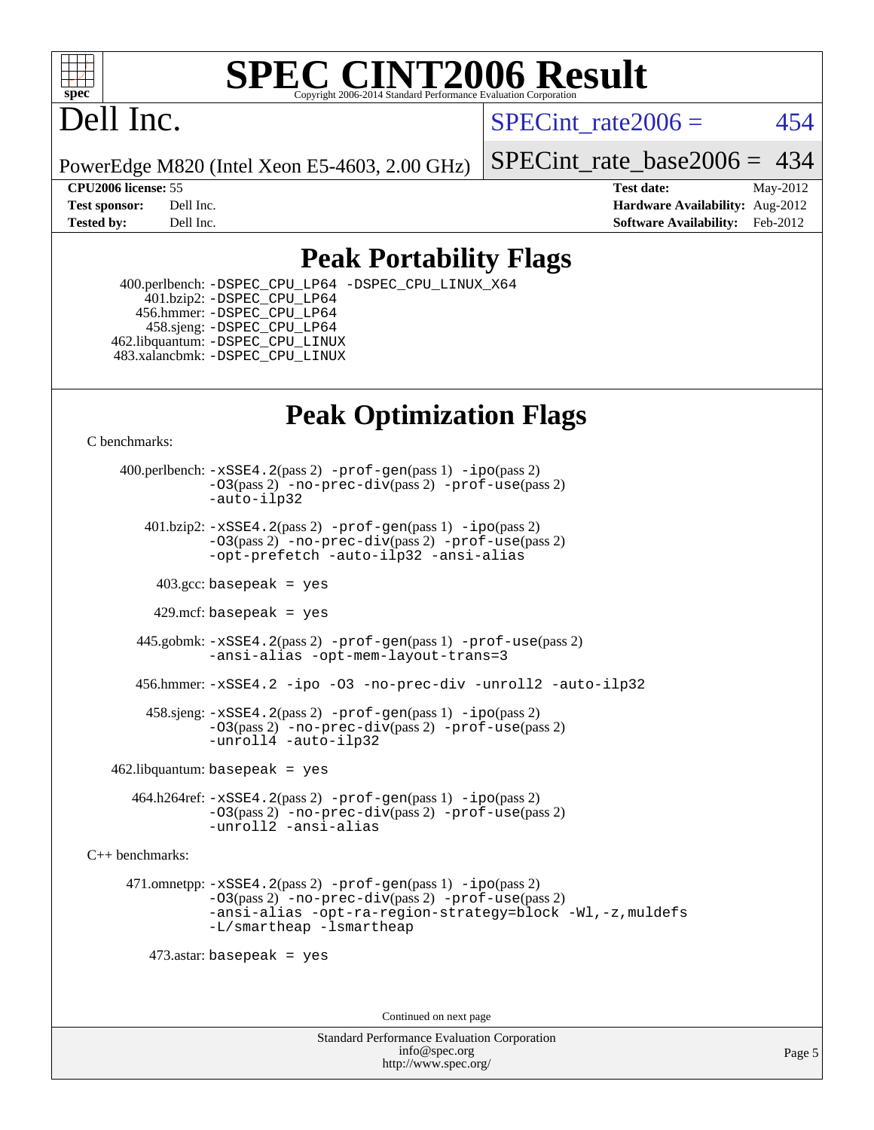

#### **[SPEC CINT2006 Result](http://www.spec.org/auto/cpu2006/Docs/result-fields.html#SPECCINT2006Result)** Copyright 2006-2014 Standard Performance Evaluation C

# Dell Inc.

SPECint rate $2006 = 454$ 

PowerEdge M820 (Intel Xeon E5-4603, 2.00 GHz)

[SPECint\\_rate\\_base2006 =](http://www.spec.org/auto/cpu2006/Docs/result-fields.html#SPECintratebase2006) 434

**[CPU2006 license:](http://www.spec.org/auto/cpu2006/Docs/result-fields.html#CPU2006license)** 55 **[Test date:](http://www.spec.org/auto/cpu2006/Docs/result-fields.html#Testdate)** May-2012 **[Test sponsor:](http://www.spec.org/auto/cpu2006/Docs/result-fields.html#Testsponsor)** Dell Inc. **[Hardware Availability:](http://www.spec.org/auto/cpu2006/Docs/result-fields.html#HardwareAvailability)** Aug-2012 **[Tested by:](http://www.spec.org/auto/cpu2006/Docs/result-fields.html#Testedby)** Dell Inc. **[Software Availability:](http://www.spec.org/auto/cpu2006/Docs/result-fields.html#SoftwareAvailability)** Feb-2012

### **[Peak Portability Flags](http://www.spec.org/auto/cpu2006/Docs/result-fields.html#PeakPortabilityFlags)**

 400.perlbench: [-DSPEC\\_CPU\\_LP64](http://www.spec.org/cpu2006/results/res2012q3/cpu2006-20120703-23506.flags.html#b400.perlbench_peakCPORTABILITY_DSPEC_CPU_LP64) [-DSPEC\\_CPU\\_LINUX\\_X64](http://www.spec.org/cpu2006/results/res2012q3/cpu2006-20120703-23506.flags.html#b400.perlbench_peakCPORTABILITY_DSPEC_CPU_LINUX_X64) 401.bzip2: [-DSPEC\\_CPU\\_LP64](http://www.spec.org/cpu2006/results/res2012q3/cpu2006-20120703-23506.flags.html#suite_peakCPORTABILITY401_bzip2_DSPEC_CPU_LP64) 456.hmmer: [-DSPEC\\_CPU\\_LP64](http://www.spec.org/cpu2006/results/res2012q3/cpu2006-20120703-23506.flags.html#suite_peakCPORTABILITY456_hmmer_DSPEC_CPU_LP64) 458.sjeng: [-DSPEC\\_CPU\\_LP64](http://www.spec.org/cpu2006/results/res2012q3/cpu2006-20120703-23506.flags.html#suite_peakCPORTABILITY458_sjeng_DSPEC_CPU_LP64) 462.libquantum: [-DSPEC\\_CPU\\_LINUX](http://www.spec.org/cpu2006/results/res2012q3/cpu2006-20120703-23506.flags.html#b462.libquantum_peakCPORTABILITY_DSPEC_CPU_LINUX) 483.xalancbmk: [-DSPEC\\_CPU\\_LINUX](http://www.spec.org/cpu2006/results/res2012q3/cpu2006-20120703-23506.flags.html#b483.xalancbmk_peakCXXPORTABILITY_DSPEC_CPU_LINUX)

## **[Peak Optimization Flags](http://www.spec.org/auto/cpu2006/Docs/result-fields.html#PeakOptimizationFlags)**

[C benchmarks](http://www.spec.org/auto/cpu2006/Docs/result-fields.html#Cbenchmarks):

 400.perlbench: [-xSSE4.2](http://www.spec.org/cpu2006/results/res2012q3/cpu2006-20120703-23506.flags.html#user_peakPASS2_CFLAGSPASS2_LDCFLAGS400_perlbench_f-xSSE42_f91528193cf0b216347adb8b939d4107)(pass 2) [-prof-gen](http://www.spec.org/cpu2006/results/res2012q3/cpu2006-20120703-23506.flags.html#user_peakPASS1_CFLAGSPASS1_LDCFLAGS400_perlbench_prof_gen_e43856698f6ca7b7e442dfd80e94a8fc)(pass 1) [-ipo](http://www.spec.org/cpu2006/results/res2012q3/cpu2006-20120703-23506.flags.html#user_peakPASS2_CFLAGSPASS2_LDCFLAGS400_perlbench_f-ipo)(pass 2) [-O3](http://www.spec.org/cpu2006/results/res2012q3/cpu2006-20120703-23506.flags.html#user_peakPASS2_CFLAGSPASS2_LDCFLAGS400_perlbench_f-O3)(pass 2) [-no-prec-div](http://www.spec.org/cpu2006/results/res2012q3/cpu2006-20120703-23506.flags.html#user_peakPASS2_CFLAGSPASS2_LDCFLAGS400_perlbench_f-no-prec-div)(pass 2) [-prof-use](http://www.spec.org/cpu2006/results/res2012q3/cpu2006-20120703-23506.flags.html#user_peakPASS2_CFLAGSPASS2_LDCFLAGS400_perlbench_prof_use_bccf7792157ff70d64e32fe3e1250b55)(pass 2) [-auto-ilp32](http://www.spec.org/cpu2006/results/res2012q3/cpu2006-20120703-23506.flags.html#user_peakCOPTIMIZE400_perlbench_f-auto-ilp32)  $401.bzip2: -xSSE4.2(pass 2) -prof-qen(pass 1) -ipo(pass 2)$  $401.bzip2: -xSSE4.2(pass 2) -prof-qen(pass 1) -ipo(pass 2)$  $401.bzip2: -xSSE4.2(pass 2) -prof-qen(pass 1) -ipo(pass 2)$  $401.bzip2: -xSSE4.2(pass 2) -prof-qen(pass 1) -ipo(pass 2)$  $401.bzip2: -xSSE4.2(pass 2) -prof-qen(pass 1) -ipo(pass 2)$ [-O3](http://www.spec.org/cpu2006/results/res2012q3/cpu2006-20120703-23506.flags.html#user_peakPASS2_CFLAGSPASS2_LDCFLAGS401_bzip2_f-O3)(pass 2) [-no-prec-div](http://www.spec.org/cpu2006/results/res2012q3/cpu2006-20120703-23506.flags.html#user_peakPASS2_CFLAGSPASS2_LDCFLAGS401_bzip2_f-no-prec-div)(pass 2) [-prof-use](http://www.spec.org/cpu2006/results/res2012q3/cpu2006-20120703-23506.flags.html#user_peakPASS2_CFLAGSPASS2_LDCFLAGS401_bzip2_prof_use_bccf7792157ff70d64e32fe3e1250b55)(pass 2) [-opt-prefetch](http://www.spec.org/cpu2006/results/res2012q3/cpu2006-20120703-23506.flags.html#user_peakCOPTIMIZE401_bzip2_f-opt-prefetch) [-auto-ilp32](http://www.spec.org/cpu2006/results/res2012q3/cpu2006-20120703-23506.flags.html#user_peakCOPTIMIZE401_bzip2_f-auto-ilp32) [-ansi-alias](http://www.spec.org/cpu2006/results/res2012q3/cpu2006-20120703-23506.flags.html#user_peakCOPTIMIZE401_bzip2_f-ansi-alias)  $403.\text{sec: basepeak}$  = yes 429.mcf: basepeak = yes 445.gobmk: [-xSSE4.2](http://www.spec.org/cpu2006/results/res2012q3/cpu2006-20120703-23506.flags.html#user_peakPASS2_CFLAGSPASS2_LDCFLAGS445_gobmk_f-xSSE42_f91528193cf0b216347adb8b939d4107)(pass 2) [-prof-gen](http://www.spec.org/cpu2006/results/res2012q3/cpu2006-20120703-23506.flags.html#user_peakPASS1_CFLAGSPASS1_LDCFLAGS445_gobmk_prof_gen_e43856698f6ca7b7e442dfd80e94a8fc)(pass 1) [-prof-use](http://www.spec.org/cpu2006/results/res2012q3/cpu2006-20120703-23506.flags.html#user_peakPASS2_CFLAGSPASS2_LDCFLAGS445_gobmk_prof_use_bccf7792157ff70d64e32fe3e1250b55)(pass 2) [-ansi-alias](http://www.spec.org/cpu2006/results/res2012q3/cpu2006-20120703-23506.flags.html#user_peakCOPTIMIZE445_gobmk_f-ansi-alias) [-opt-mem-layout-trans=3](http://www.spec.org/cpu2006/results/res2012q3/cpu2006-20120703-23506.flags.html#user_peakCOPTIMIZE445_gobmk_f-opt-mem-layout-trans_a7b82ad4bd7abf52556d4961a2ae94d5) 456.hmmer: [-xSSE4.2](http://www.spec.org/cpu2006/results/res2012q3/cpu2006-20120703-23506.flags.html#user_peakCOPTIMIZE456_hmmer_f-xSSE42_f91528193cf0b216347adb8b939d4107) [-ipo](http://www.spec.org/cpu2006/results/res2012q3/cpu2006-20120703-23506.flags.html#user_peakCOPTIMIZE456_hmmer_f-ipo) [-O3](http://www.spec.org/cpu2006/results/res2012q3/cpu2006-20120703-23506.flags.html#user_peakCOPTIMIZE456_hmmer_f-O3) [-no-prec-div](http://www.spec.org/cpu2006/results/res2012q3/cpu2006-20120703-23506.flags.html#user_peakCOPTIMIZE456_hmmer_f-no-prec-div) [-unroll2](http://www.spec.org/cpu2006/results/res2012q3/cpu2006-20120703-23506.flags.html#user_peakCOPTIMIZE456_hmmer_f-unroll_784dae83bebfb236979b41d2422d7ec2) [-auto-ilp32](http://www.spec.org/cpu2006/results/res2012q3/cpu2006-20120703-23506.flags.html#user_peakCOPTIMIZE456_hmmer_f-auto-ilp32) 458.sjeng: [-xSSE4.2](http://www.spec.org/cpu2006/results/res2012q3/cpu2006-20120703-23506.flags.html#user_peakPASS2_CFLAGSPASS2_LDCFLAGS458_sjeng_f-xSSE42_f91528193cf0b216347adb8b939d4107)(pass 2) [-prof-gen](http://www.spec.org/cpu2006/results/res2012q3/cpu2006-20120703-23506.flags.html#user_peakPASS1_CFLAGSPASS1_LDCFLAGS458_sjeng_prof_gen_e43856698f6ca7b7e442dfd80e94a8fc)(pass 1) [-ipo](http://www.spec.org/cpu2006/results/res2012q3/cpu2006-20120703-23506.flags.html#user_peakPASS2_CFLAGSPASS2_LDCFLAGS458_sjeng_f-ipo)(pass 2) [-O3](http://www.spec.org/cpu2006/results/res2012q3/cpu2006-20120703-23506.flags.html#user_peakPASS2_CFLAGSPASS2_LDCFLAGS458_sjeng_f-O3)(pass 2) [-no-prec-div](http://www.spec.org/cpu2006/results/res2012q3/cpu2006-20120703-23506.flags.html#user_peakPASS2_CFLAGSPASS2_LDCFLAGS458_sjeng_f-no-prec-div)(pass 2) [-prof-use](http://www.spec.org/cpu2006/results/res2012q3/cpu2006-20120703-23506.flags.html#user_peakPASS2_CFLAGSPASS2_LDCFLAGS458_sjeng_prof_use_bccf7792157ff70d64e32fe3e1250b55)(pass 2) [-unroll4](http://www.spec.org/cpu2006/results/res2012q3/cpu2006-20120703-23506.flags.html#user_peakCOPTIMIZE458_sjeng_f-unroll_4e5e4ed65b7fd20bdcd365bec371b81f) [-auto-ilp32](http://www.spec.org/cpu2006/results/res2012q3/cpu2006-20120703-23506.flags.html#user_peakCOPTIMIZE458_sjeng_f-auto-ilp32)  $462$ .libquantum: basepeak = yes

 464.h264ref: [-xSSE4.2](http://www.spec.org/cpu2006/results/res2012q3/cpu2006-20120703-23506.flags.html#user_peakPASS2_CFLAGSPASS2_LDCFLAGS464_h264ref_f-xSSE42_f91528193cf0b216347adb8b939d4107)(pass 2) [-prof-gen](http://www.spec.org/cpu2006/results/res2012q3/cpu2006-20120703-23506.flags.html#user_peakPASS1_CFLAGSPASS1_LDCFLAGS464_h264ref_prof_gen_e43856698f6ca7b7e442dfd80e94a8fc)(pass 1) [-ipo](http://www.spec.org/cpu2006/results/res2012q3/cpu2006-20120703-23506.flags.html#user_peakPASS2_CFLAGSPASS2_LDCFLAGS464_h264ref_f-ipo)(pass 2) [-O3](http://www.spec.org/cpu2006/results/res2012q3/cpu2006-20120703-23506.flags.html#user_peakPASS2_CFLAGSPASS2_LDCFLAGS464_h264ref_f-O3)(pass 2) [-no-prec-div](http://www.spec.org/cpu2006/results/res2012q3/cpu2006-20120703-23506.flags.html#user_peakPASS2_CFLAGSPASS2_LDCFLAGS464_h264ref_f-no-prec-div)(pass 2) [-prof-use](http://www.spec.org/cpu2006/results/res2012q3/cpu2006-20120703-23506.flags.html#user_peakPASS2_CFLAGSPASS2_LDCFLAGS464_h264ref_prof_use_bccf7792157ff70d64e32fe3e1250b55)(pass 2) [-unroll2](http://www.spec.org/cpu2006/results/res2012q3/cpu2006-20120703-23506.flags.html#user_peakCOPTIMIZE464_h264ref_f-unroll_784dae83bebfb236979b41d2422d7ec2) [-ansi-alias](http://www.spec.org/cpu2006/results/res2012q3/cpu2006-20120703-23506.flags.html#user_peakCOPTIMIZE464_h264ref_f-ansi-alias)

[C++ benchmarks:](http://www.spec.org/auto/cpu2006/Docs/result-fields.html#CXXbenchmarks)

 471.omnetpp: [-xSSE4.2](http://www.spec.org/cpu2006/results/res2012q3/cpu2006-20120703-23506.flags.html#user_peakPASS2_CXXFLAGSPASS2_LDCXXFLAGS471_omnetpp_f-xSSE42_f91528193cf0b216347adb8b939d4107)(pass 2) [-prof-gen](http://www.spec.org/cpu2006/results/res2012q3/cpu2006-20120703-23506.flags.html#user_peakPASS1_CXXFLAGSPASS1_LDCXXFLAGS471_omnetpp_prof_gen_e43856698f6ca7b7e442dfd80e94a8fc)(pass 1) [-ipo](http://www.spec.org/cpu2006/results/res2012q3/cpu2006-20120703-23506.flags.html#user_peakPASS2_CXXFLAGSPASS2_LDCXXFLAGS471_omnetpp_f-ipo)(pass 2) [-O3](http://www.spec.org/cpu2006/results/res2012q3/cpu2006-20120703-23506.flags.html#user_peakPASS2_CXXFLAGSPASS2_LDCXXFLAGS471_omnetpp_f-O3)(pass 2) [-no-prec-div](http://www.spec.org/cpu2006/results/res2012q3/cpu2006-20120703-23506.flags.html#user_peakPASS2_CXXFLAGSPASS2_LDCXXFLAGS471_omnetpp_f-no-prec-div)(pass 2) [-prof-use](http://www.spec.org/cpu2006/results/res2012q3/cpu2006-20120703-23506.flags.html#user_peakPASS2_CXXFLAGSPASS2_LDCXXFLAGS471_omnetpp_prof_use_bccf7792157ff70d64e32fe3e1250b55)(pass 2) [-ansi-alias](http://www.spec.org/cpu2006/results/res2012q3/cpu2006-20120703-23506.flags.html#user_peakCXXOPTIMIZE471_omnetpp_f-ansi-alias) [-opt-ra-region-strategy=block](http://www.spec.org/cpu2006/results/res2012q3/cpu2006-20120703-23506.flags.html#user_peakCXXOPTIMIZE471_omnetpp_f-opt-ra-region-strategy_a0a37c372d03933b2a18d4af463c1f69) [-Wl,-z,muldefs](http://www.spec.org/cpu2006/results/res2012q3/cpu2006-20120703-23506.flags.html#user_peakEXTRA_LDFLAGS471_omnetpp_link_force_multiple1_74079c344b956b9658436fd1b6dd3a8a) [-L/smartheap -lsmartheap](http://www.spec.org/cpu2006/results/res2012q3/cpu2006-20120703-23506.flags.html#user_peakEXTRA_LIBS471_omnetpp_SmartHeap_7c9e394a5779e1a7fec7c221e123830c)

473.astar: basepeak = yes

Continued on next page

Standard Performance Evaluation Corporation [info@spec.org](mailto:info@spec.org) <http://www.spec.org/>